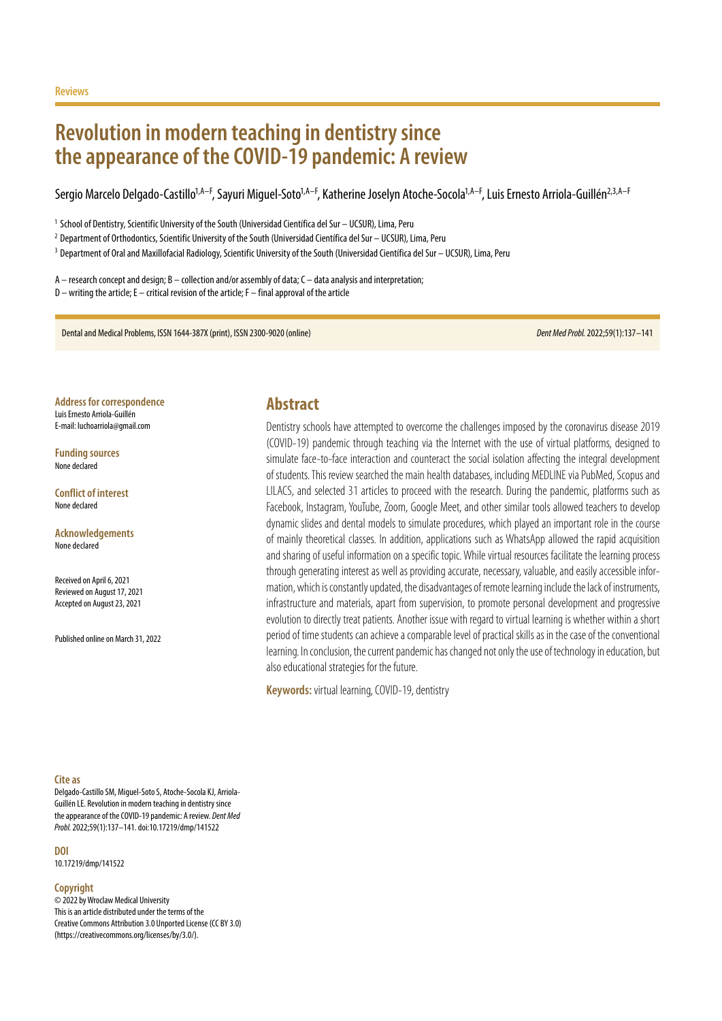# **Revolution in modern teaching in dentistry since the appearance of the COVID-19 pandemic: A review**

Sergio Marcelo Delgado-Castillo<sup>1,A–F</sup>, Sayuri Miguel-Soto<sup>1,A–F</sup>, Katherine Joselyn Atoche-Socola<sup>1,A–F</sup>, Luis Ernesto Arriola-Guillén<sup>2,3,A–F</sup>

<sup>1</sup> School of Dentistry, Scientific University of the South (Universidad Científica del Sur – UCSUR), Lima, Peru

<sup>2</sup> Department of Orthodontics, Scientific University of the South (Universidad Científica del Sur – UCSUR), Lima, Peru

<sup>3</sup> Department of Oral and Maxillofacial Radiology, Scientific University of the South (Universidad Científica del Sur – UCSUR), Lima, Peru

A – research concept and design; B – collection and/or assembly of data; C – data analysis and interpretation; D – writing the article; E – critical revision of the article; F – final approval of the article

Dental and Medical Problems, ISSN 1644-387X (print), ISSN 2300-9020 (online) *Dent Med Probl.* 2022;59(1):137–141

**Address for correspondence** Luis Ernesto Arriola-Guillén E-mail: luchoarriola@gmail.com

**Funding sources** None declared

**Conflict of interest** None declared

**Acknowledgements** None declared

Received on April 6, 2021 Reviewed on August 17, 2021 Accepted on August 23, 2021

Published online on March 31, 2022

### **Abstract**

Dentistry schools have attempted to overcome the challenges imposed by the coronavirus disease 2019 (COVID-19) pandemic through teaching via the Internet with the use of virtual platforms, designed to simulate face-to-face interaction and counteract the social isolation affecting the integral development of students. This review searched the main health databases, including MEDLINE via PubMed, Scopus and LILACS, and selected 31 articles to proceed with the research. During the pandemic, platforms such as Facebook, Instagram, YouTube, Zoom, Google Meet, and other similar tools allowed teachers to develop dynamic slides and dental models to simulate procedures, which played an important role in the course of mainly theoretical classes. In addition, applications such as WhatsApp allowed the rapid acquisition and sharing of useful information on a specific topic. While virtual resources facilitate the learning process through generating interest as well as providing accurate, necessary, valuable, and easily accessible information, which is constantly updated, the disadvantages of remote learning include the lack of instruments, infrastructure and materials, apart from supervision, to promote personal development and progressive evolution to directly treat patients. Another issue with regard to virtual learning is whether within a short period of time students can achieve a comparable level of practical skills as in the case of the conventional learning. In conclusion, the current pandemic has changed not only the use of technology in education, but also educational strategies for the future.

**Keywords:** virtual learning, COVID-19, dentistry

#### **Cite as**

Delgado-Castillo SM, Miguel-Soto S, Atoche-Socola KJ, Arriola-Guillén LE. Revolution in modern teaching in dentistry since the appearance of the COVID-19 pandemic: A review. *Dent Med Probl.* 2022;59(1):137–141. doi:10.17219/dmp/141522

**DOI**

10.17219/dmp/141522

#### **Copyright**

© 2022 by Wroclaw Medical University This is an article distributed under the terms of the Creative Commons Attribution 3.0 Unported License (CC BY 3.0) [\(https://creativecommons.org/licenses/by/3.0/\)](https://creativecommons.org/licenses/by/3.0/).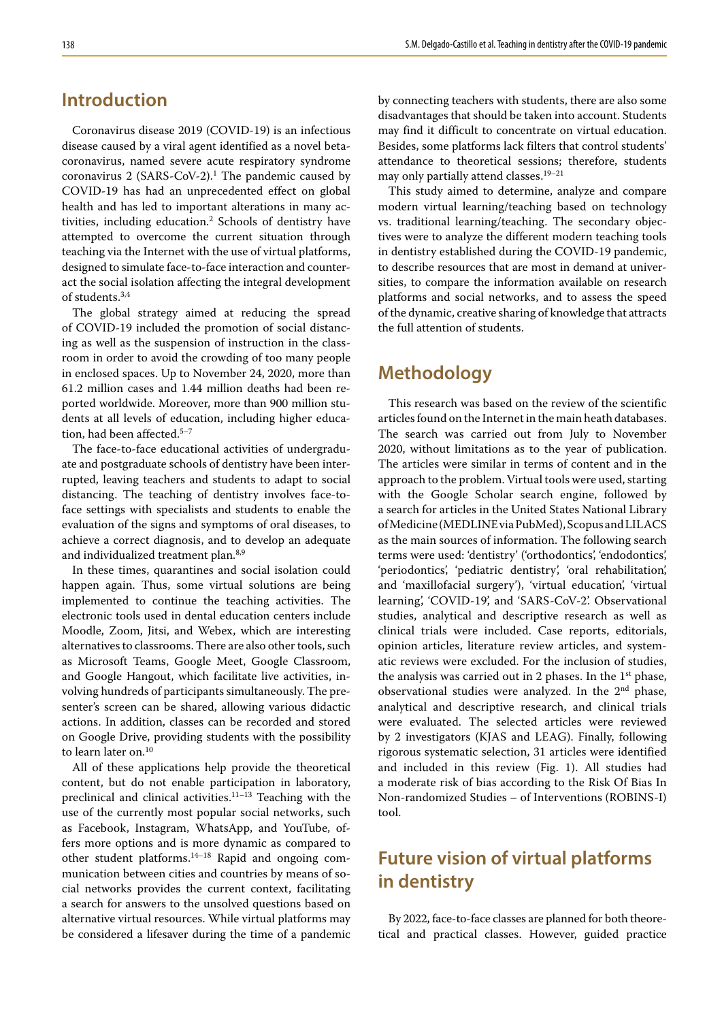## **Introduction**

Coronavirus disease 2019 (COVID-19) is an infectious disease caused by a viral agent identified as a novel betacoronavirus, named severe acute respiratory syndrome coronavirus 2  $(SARS-CoV-2)$ .<sup>1</sup> The pandemic caused by COVID-19 has had an unprecedented effect on global health and has led to important alterations in many activities, including education.2 Schools of dentistry have attempted to overcome the current situation through teaching via the Internet with the use of virtual platforms, designed to simulate face-to-face interaction and counteract the social isolation affecting the integral development of students.3,4

The global strategy aimed at reducing the spread of COVID-19 included the promotion of social distancing as well as the suspension of instruction in the classroom in order to avoid the crowding of too many people in enclosed spaces. Up to November 24, 2020, more than 61.2 million cases and 1.44 million deaths had been reported worldwide. Moreover, more than 900 million students at all levels of education, including higher education, had been affected.<sup>5-7</sup>

The face-to-face educational activities of undergraduate and postgraduate schools of dentistry have been interrupted, leaving teachers and students to adapt to social distancing. The teaching of dentistry involves face-toface settings with specialists and students to enable the evaluation of the signs and symptoms of oral diseases, to achieve a correct diagnosis, and to develop an adequate and individualized treatment plan.<sup>8,9</sup>

In these times, quarantines and social isolation could happen again. Thus, some virtual solutions are being implemented to continue the teaching activities. The electronic tools used in dental education centers include Moodle, Zoom, Jitsi, and Webex, which are interesting alternatives to classrooms. There are also other tools, such as Microsoft Teams, Google Meet, Google Classroom, and Google Hangout, which facilitate live activities, involving hundreds of participants simultaneously. The presenter's screen can be shared, allowing various didactic actions. In addition, classes can be recorded and stored on Google Drive, providing students with the possibility to learn later on.10

All of these applications help provide the theoretical content, but do not enable participation in laboratory, preclinical and clinical activities.11–13 Teaching with the use of the currently most popular social networks, such as Facebook, Instagram, WhatsApp, and YouTube, offers more options and is more dynamic as compared to other student platforms.14–18 Rapid and ongoing communication between cities and countries by means of social networks provides the current context, facilitating a search for answers to the unsolved questions based on alternative virtual resources. While virtual platforms may be considered a lifesaver during the time of a pandemic by connecting teachers with students, there are also some disadvantages that should be taken into account. Students may find it difficult to concentrate on virtual education. Besides, some platforms lack filters that control students' attendance to theoretical sessions; therefore, students may only partially attend classes.<sup>19-21</sup>

This study aimed to determine, analyze and compare modern virtual learning/teaching based on technology vs. traditional learning/teaching. The secondary objectives were to analyze the different modern teaching tools in dentistry established during the COVID-19 pandemic, to describe resources that are most in demand at universities, to compare the information available on research platforms and social networks, and to assess the speed of the dynamic, creative sharing of knowledge that attracts the full attention of students.

## **Methodology**

This research was based on the review of the scientific articles found on the Internet in the main heath databases. The search was carried out from July to November 2020, without limitations as to the year of publication. The articles were similar in terms of content and in the approach to the problem. Virtual tools were used, starting with the Google Scholar search engine, followed by a search for articles in the United States National Library of Medicine (MEDLINE via PubMed), Scopus and LILACS as the main sources of information. The following search terms were used: 'dentistry' ('orthodontics', 'endodontics', 'periodontics', 'pediatric dentistry', 'oral rehabilitation', and 'maxillofacial surgery'), 'virtual education', 'virtual learning', 'COVID-19', and 'SARS-CoV-2'. Observational studies, analytical and descriptive research as well as clinical trials were included. Case reports, editorials, opinion articles, literature review articles, and systematic reviews were excluded. For the inclusion of studies, the analysis was carried out in 2 phases. In the  $1<sup>st</sup>$  phase, observational studies were analyzed. In the 2nd phase, analytical and descriptive research, and clinical trials were evaluated. The selected articles were reviewed by 2 investigators (KJAS and LEAG). Finally, following rigorous systematic selection, 31 articles were identified and included in this review (Fig. 1). All studies had a moderate risk of bias according to the Risk Of Bias In Non-randomized Studies – of Interventions (ROBINS-I) tool.

# **Future vision of virtual platforms in dentistry**

By 2022, face-to-face classes are planned for both theoretical and practical classes. However, guided practice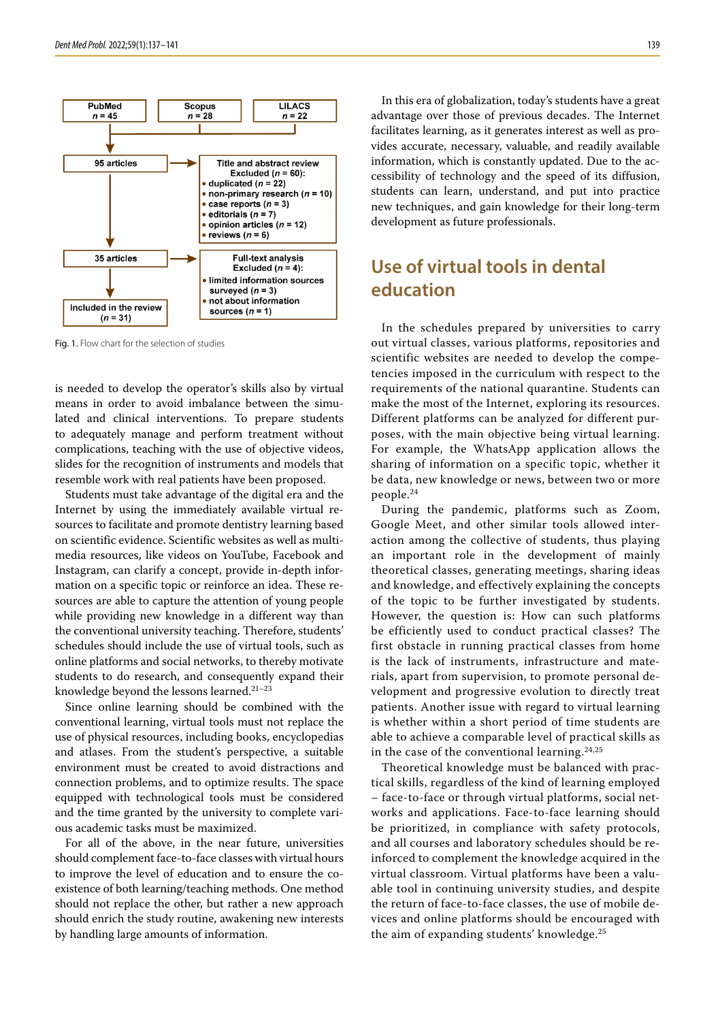

Fig. 1. Flow chart for the selection of studies

is needed to develop the operator's skills also by virtual means in order to avoid imbalance between the simulated and clinical interventions. To prepare students to adequately manage and perform treatment without complications, teaching with the use of objective videos, slides for the recognition of instruments and models that resemble work with real patients have been proposed.

Students must take advantage of the digital era and the Internet by using the immediately available virtual resources to facilitate and promote dentistry learning based on scientific evidence. Scientific websites as well as multimedia resources, like videos on YouTube, Facebook and Instagram, can clarify a concept, provide in-depth information on a specific topic or reinforce an idea. These resources are able to capture the attention of young people while providing new knowledge in a different way than the conventional university teaching. Therefore, students' schedules should include the use of virtual tools, such as online platforms and social networks, to thereby motivate students to do research, and consequently expand their knowledge beyond the lessons learned.<sup>21-23</sup>

Since online learning should be combined with the conventional learning, virtual tools must not replace the use of physical resources, including books, encyclopedias and atlases. From the student's perspective, a suitable environment must be created to avoid distractions and connection problems, and to optimize results. The space equipped with technological tools must be considered and the time granted by the university to complete various academic tasks must be maximized.

For all of the above, in the near future, universities should complement face-to-face classes with virtual hours to improve the level of education and to ensure the coexistence of both learning/teaching methods. One method should not replace the other, but rather a new approach should enrich the study routine, awakening new interests by handling large amounts of information.

In this era of globalization, today's students have a great advantage over those of previous decades. The Internet facilitates learning, as it generates interest as well as provides accurate, necessary, valuable, and readily available information, which is constantly updated. Due to the accessibility of technology and the speed of its diffusion, students can learn, understand, and put into practice new techniques, and gain knowledge for their long-term development as future professionals.

## **Use of virtual tools in dental education**

In the schedules prepared by universities to carry out virtual classes, various platforms, repositories and scientific websites are needed to develop the competencies imposed in the curriculum with respect to the requirements of the national quarantine. Students can make the most of the Internet, exploring its resources. Different platforms can be analyzed for different purposes, with the main objective being virtual learning. For example, the WhatsApp application allows the sharing of information on a specific topic, whether it be data, new knowledge or news, between two or more people.<sup>24</sup>

During the pandemic, platforms such as Zoom, Google Meet, and other similar tools allowed interaction among the collective of students, thus playing an important role in the development of mainly theoretical classes, generating meetings, sharing ideas and knowledge, and effectively explaining the concepts of the topic to be further investigated by students. However, the question is: How can such platforms be efficiently used to conduct practical classes? The first obstacle in running practical classes from home is the lack of instruments, infrastructure and materials, apart from supervision, to promote personal development and progressive evolution to directly treat patients. Another issue with regard to virtual learning is whether within a short period of time students are able to achieve a comparable level of practical skills as in the case of the conventional learning.24,25

Theoretical knowledge must be balanced with practical skills, regardless of the kind of learning employed – face-to-face or through virtual platforms, social networks and applications. Face-to-face learning should be prioritized, in compliance with safety protocols, and all courses and laboratory schedules should be reinforced to complement the knowledge acquired in the virtual classroom. Virtual platforms have been a valuable tool in continuing university studies, and despite the return of face-to-face classes, the use of mobile devices and online platforms should be encouraged with the aim of expanding students' knowledge.<sup>25</sup>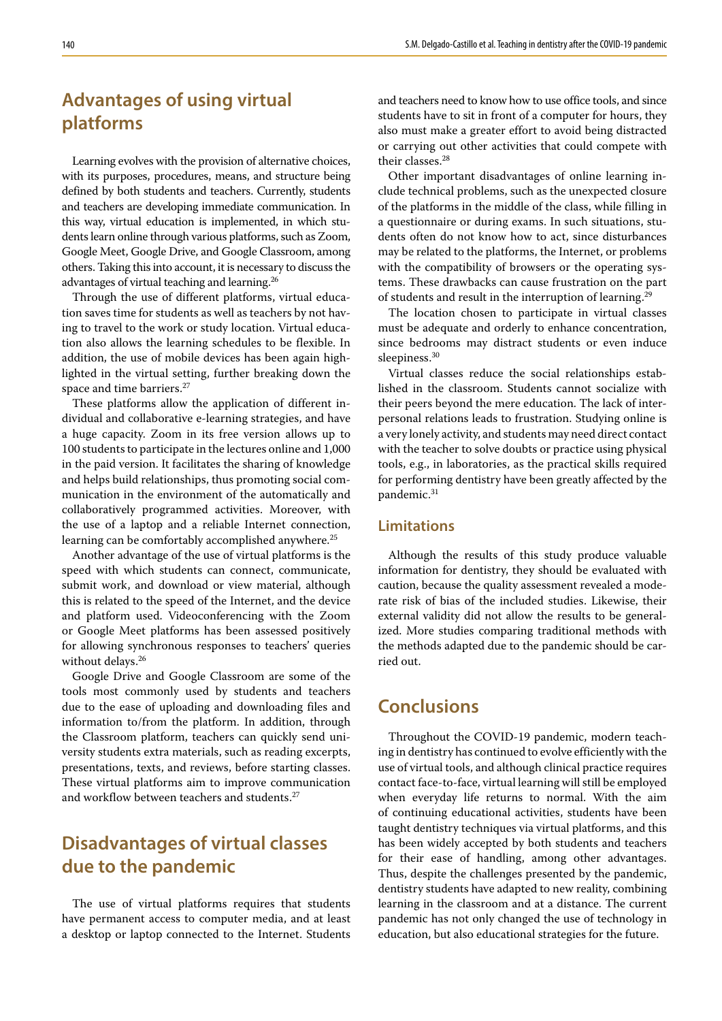# **Advantages of using virtual platforms**

Learning evolves with the provision of alternative choices, with its purposes, procedures, means, and structure being defined by both students and teachers. Currently, students and teachers are developing immediate communication. In this way, virtual education is implemented, in which students learn online through various platforms, such as Zoom, Google Meet, Google Drive, and Google Classroom, among others. Taking this into account, it is necessary to discuss the advantages of virtual teaching and learning.26

Through the use of different platforms, virtual education saves time for students as well as teachers by not having to travel to the work or study location. Virtual education also allows the learning schedules to be flexible. In addition, the use of mobile devices has been again highlighted in the virtual setting, further breaking down the space and time barriers.<sup>27</sup>

These platforms allow the application of different individual and collaborative e-learning strategies, and have a huge capacity. Zoom in its free version allows up to 100 students to participate in the lectures online and 1,000 in the paid version. It facilitates the sharing of knowledge and helps build relationships, thus promoting social communication in the environment of the automatically and collaboratively programmed activities. Moreover, with the use of a laptop and a reliable Internet connection, learning can be comfortably accomplished anywhere.<sup>25</sup>

Another advantage of the use of virtual platforms is the speed with which students can connect, communicate, submit work, and download or view material, although this is related to the speed of the Internet, and the device and platform used. Videoconferencing with the Zoom or Google Meet platforms has been assessed positively for allowing synchronous responses to teachers' queries without delays.<sup>26</sup>

Google Drive and Google Classroom are some of the tools most commonly used by students and teachers due to the ease of uploading and downloading files and information to/from the platform. In addition, through the Classroom platform, teachers can quickly send university students extra materials, such as reading excerpts, presentations, texts, and reviews, before starting classes. These virtual platforms aim to improve communication and workflow between teachers and students.<sup>27</sup>

# **Disadvantages of virtual classes due to the pandemic**

The use of virtual platforms requires that students have permanent access to computer media, and at least a desktop or laptop connected to the Internet. Students and teachers need to know how to use office tools, and since students have to sit in front of a computer for hours, they also must make a greater effort to avoid being distracted or carrying out other activities that could compete with their classes.28

Other important disadvantages of online learning include technical problems, such as the unexpected closure of the platforms in the middle of the class, while filling in a questionnaire or during exams. In such situations, students often do not know how to act, since disturbances may be related to the platforms, the Internet, or problems with the compatibility of browsers or the operating systems. These drawbacks can cause frustration on the part of students and result in the interruption of learning.<sup>29</sup>

The location chosen to participate in virtual classes must be adequate and orderly to enhance concentration, since bedrooms may distract students or even induce sleepiness.<sup>30</sup>

Virtual classes reduce the social relationships established in the classroom. Students cannot socialize with their peers beyond the mere education. The lack of interpersonal relations leads to frustration. Studying online is a very lonely activity, and students may need direct contact with the teacher to solve doubts or practice using physical tools, e.g., in laboratories, as the practical skills required for performing dentistry have been greatly affected by the pandemic.31

### **Limitations**

Although the results of this study produce valuable information for dentistry, they should be evaluated with caution, because the quality assessment revealed a moderate risk of bias of the included studies. Likewise, their external validity did not allow the results to be generalized. More studies comparing traditional methods with the methods adapted due to the pandemic should be carried out.

## **Conclusions**

Throughout the COVID-19 pandemic, modern teaching in dentistry has continued to evolve efficiently with the use of virtual tools, and although clinical practice requires contact face-to-face, virtual learning will still be employed when everyday life returns to normal. With the aim of continuing educational activities, students have been taught dentistry techniques via virtual platforms, and this has been widely accepted by both students and teachers for their ease of handling, among other advantages. Thus, despite the challenges presented by the pandemic, dentistry students have adapted to new reality, combining learning in the classroom and at a distance. The current pandemic has not only changed the use of technology in education, but also educational strategies for the future.